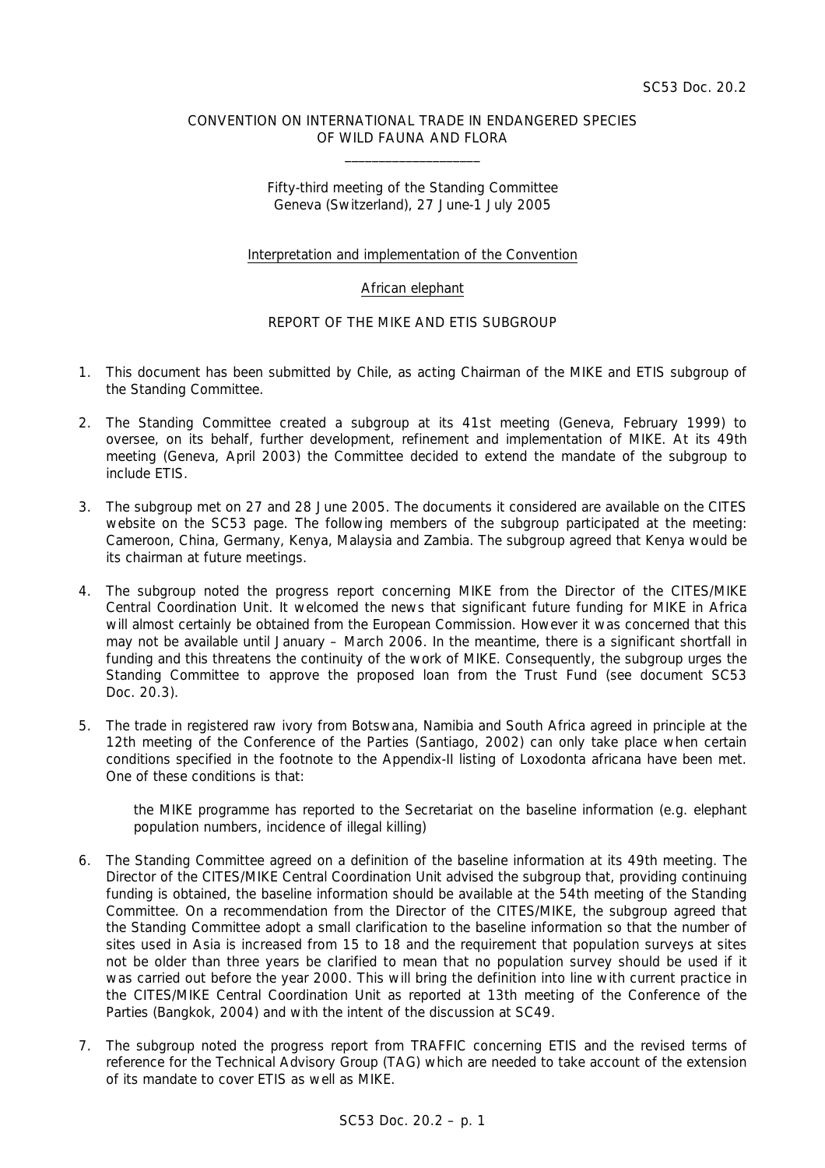## CONVENTION ON INTERNATIONAL TRADE IN ENDANGERED SPECIES OF WILD FAUNA AND FLORA  $\frac{1}{2}$  ,  $\frac{1}{2}$  ,  $\frac{1}{2}$  ,  $\frac{1}{2}$  ,  $\frac{1}{2}$  ,  $\frac{1}{2}$  ,  $\frac{1}{2}$  ,  $\frac{1}{2}$  ,  $\frac{1}{2}$  ,  $\frac{1}{2}$  ,  $\frac{1}{2}$  ,  $\frac{1}{2}$  ,  $\frac{1}{2}$  ,  $\frac{1}{2}$  ,  $\frac{1}{2}$  ,  $\frac{1}{2}$  ,  $\frac{1}{2}$  ,  $\frac{1}{2}$  ,  $\frac{1$

Fifty-third meeting of the Standing Committee Geneva (Switzerland), 27 June-1 July 2005

## Interpretation and implementation of the Convention

## African elephant

## REPORT OF THE MIKE AND ETIS SUBGROUP

- 1. This document has been submitted by Chile, as acting Chairman of the MIKE and ETIS subgroup of the Standing Committee.
- 2. The Standing Committee created a subgroup at its 41st meeting (Geneva, February 1999) to oversee, on its behalf, further development, refinement and implementation of MIKE. At its 49th meeting (Geneva, April 2003) the Committee decided to extend the mandate of the subgroup to include ETIS.
- 3. The subgroup met on 27 and 28 June 2005. The documents it considered are available on the CITES website on the SC53 page. The following members of the subgroup participated at the meeting: Cameroon, China, Germany, Kenya, Malaysia and Zambia. The subgroup agreed that Kenya would be its chairman at future meetings.
- 4. The subgroup noted the progress report concerning MIKE from the Director of the CITES/MIKE Central Coordination Unit. It welcomed the news that significant future funding for MIKE in Africa will almost certainly be obtained from the European Commission. However it was concerned that this may not be available until January – March 2006. In the meantime, there is a significant shortfall in funding and this threatens the continuity of the work of MIKE. Consequently, the subgroup urges the Standing Committee to approve the proposed loan from the Trust Fund (see document SC53 Doc. 20.3).
- 5. The trade in registered raw ivory from Botswana, Namibia and South Africa agreed in principle at the 12th meeting of the Conference of the Parties (Santiago, 2002) can only take place when certain conditions specified in the footnote to the Appendix-II listing of *Loxodonta africana* have been met. One of these conditions is that:

 *the MIKE programme has reported to the Secretariat on the baseline information (e.g. elephant population numbers, incidence of illegal killing)* 

- 6. The Standing Committee agreed on a definition of the baseline information at its 49th meeting. The Director of the CITES/MIKE Central Coordination Unit advised the subgroup that, providing continuing funding is obtained, the baseline information should be available at the 54th meeting of the Standing Committee. On a recommendation from the Director of the CITES/MIKE, the subgroup agreed that the Standing Committee adopt a small clarification to the baseline information so that the number of sites used in Asia is increased from 15 to 18 and the requirement that population surveys at sites not be older than three years be clarified to mean that no population survey should be used if it was carried out before the year 2000. This will bring the definition into line with current practice in the CITES/MIKE Central Coordination Unit as reported at 13th meeting of the Conference of the Parties (Bangkok, 2004) and with the intent of the discussion at SC49.
- 7. The subgroup noted the progress report from TRAFFIC concerning ETIS and the revised terms of reference for the Technical Advisory Group (TAG) which are needed to take account of the extension of its mandate to cover ETIS as well as MIKE.